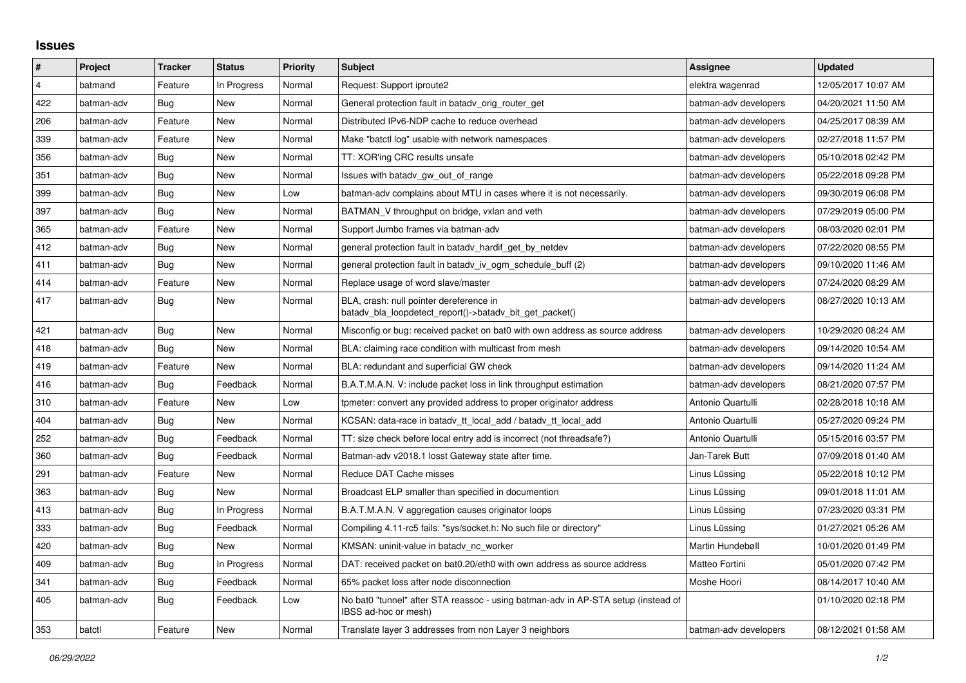## **Issues**

| #              | Project    | <b>Tracker</b> | <b>Status</b> | <b>Priority</b> | <b>Subject</b>                                                                                            | <b>Assignee</b>       | <b>Updated</b>      |
|----------------|------------|----------------|---------------|-----------------|-----------------------------------------------------------------------------------------------------------|-----------------------|---------------------|
| $\overline{4}$ | batmand    | Feature        | In Progress   | Normal          | Request: Support iproute2                                                                                 | elektra wagenrad      | 12/05/2017 10:07 AM |
| 422            | batman-adv | Bug            | New           | Normal          | General protection fault in batady orig router get                                                        | batman-adv developers | 04/20/2021 11:50 AM |
| 206            | batman-adv | Feature        | New           | Normal          | Distributed IPv6-NDP cache to reduce overhead                                                             | batman-adv developers | 04/25/2017 08:39 AM |
| 339            | batman-adv | Feature        | New           | Normal          | Make "batctl log" usable with network namespaces                                                          | batman-adv developers | 02/27/2018 11:57 PM |
| 356            | batman-adv | Bug            | New           | Normal          | TT: XOR'ing CRC results unsafe                                                                            | batman-adv developers | 05/10/2018 02:42 PM |
| 351            | batman-adv | Bug            | New           | Normal          | Issues with batady gw out of range                                                                        | batman-adv developers | 05/22/2018 09:28 PM |
| 399            | batman-adv | Bug            | New           | Low             | batman-adv complains about MTU in cases where it is not necessarily.                                      | batman-adv developers | 09/30/2019 06:08 PM |
| 397            | batman-adv | Bug            | New           | Normal          | BATMAN V throughput on bridge, vxlan and veth                                                             | batman-adv developers | 07/29/2019 05:00 PM |
| 365            | batman-adv | Feature        | New           | Normal          | Support Jumbo frames via batman-adv                                                                       | batman-adv developers | 08/03/2020 02:01 PM |
| 412            | batman-adv | <b>Bug</b>     | New           | Normal          | general protection fault in batadv_hardif_get_by_netdev                                                   | batman-adv developers | 07/22/2020 08:55 PM |
| 411            | batman-adv | Bug            | New           | Normal          | general protection fault in batady iv ogm schedule buff (2)                                               | batman-adv developers | 09/10/2020 11:46 AM |
| 414            | batman-adv | Feature        | New           | Normal          | Replace usage of word slave/master                                                                        | batman-adv developers | 07/24/2020 08:29 AM |
| 417            | batman-adv | <b>Bug</b>     | <b>New</b>    | Normal          | BLA, crash: null pointer dereference in<br>batadv_bla_loopdetect_report()->batadv_bit_get_packet()        | batman-adv developers | 08/27/2020 10:13 AM |
| 421            | batman-adv | Bug            | New           | Normal          | Misconfig or bug: received packet on bat0 with own address as source address                              | batman-adv developers | 10/29/2020 08:24 AM |
| 418            | batman-adv | Bug            | New           | Normal          | BLA: claiming race condition with multicast from mesh                                                     | batman-adv developers | 09/14/2020 10:54 AM |
| 419            | batman-adv | Feature        | New           | Normal          | BLA: redundant and superficial GW check                                                                   | batman-adv developers | 09/14/2020 11:24 AM |
| 416            | batman-adv | <b>Bug</b>     | Feedback      | Normal          | B.A.T.M.A.N. V: include packet loss in link throughput estimation                                         | batman-adv developers | 08/21/2020 07:57 PM |
| 310            | batman-adv | Feature        | New           | Low             | tpmeter: convert any provided address to proper originator address                                        | Antonio Quartulli     | 02/28/2018 10:18 AM |
| 404            | batman-adv | Bug            | New           | Normal          | KCSAN: data-race in batady_tt_local_add / batady_tt_local_add                                             | Antonio Quartulli     | 05/27/2020 09:24 PM |
| 252            | batman-adv | Bug            | Feedback      | Normal          | TT: size check before local entry add is incorrect (not threadsafe?)                                      | Antonio Quartulli     | 05/15/2016 03:57 PM |
| 360            | batman-adv | Bug            | Feedback      | Normal          | Batman-adv v2018.1 losst Gateway state after time.                                                        | Jan-Tarek Butt        | 07/09/2018 01:40 AM |
| 291            | batman-adv | Feature        | New           | Normal          | Reduce DAT Cache misses                                                                                   | Linus Lüssing         | 05/22/2018 10:12 PM |
| 363            | batman-adv | Bug            | <b>New</b>    | Normal          | Broadcast ELP smaller than specified in documention                                                       | Linus Lüssing         | 09/01/2018 11:01 AM |
| 413            | batman-adv | Bug            | In Progress   | Normal          | B.A.T.M.A.N. V aggregation causes originator loops                                                        | Linus Lüssing         | 07/23/2020 03:31 PM |
| 333            | batman-adv | Bug            | Feedback      | Normal          | Compiling 4.11-rc5 fails: "sys/socket.h: No such file or directory"                                       | Linus Lüssing         | 01/27/2021 05:26 AM |
| 420            | batman-adv | <b>Bug</b>     | <b>New</b>    | Normal          | KMSAN: uninit-value in batady_nc_worker                                                                   | Martin Hundebøll      | 10/01/2020 01:49 PM |
| 409            | batman-adv | Bug            | In Progress   | Normal          | DAT: received packet on bat0.20/eth0 with own address as source address                                   | Matteo Fortini        | 05/01/2020 07:42 PM |
| 341            | batman-adv | Bug            | Feedback      | Normal          | 65% packet loss after node disconnection                                                                  | Moshe Hoori           | 08/14/2017 10:40 AM |
| 405            | batman-adv | <b>Bug</b>     | Feedback      | Low             | No bat0 "tunnel" after STA reassoc - using batman-adv in AP-STA setup (instead of<br>IBSS ad-hoc or mesh) |                       | 01/10/2020 02:18 PM |
| 353            | batctl     | Feature        | <b>New</b>    | Normal          | Translate layer 3 addresses from non Layer 3 neighbors                                                    | batman-adv developers | 08/12/2021 01:58 AM |